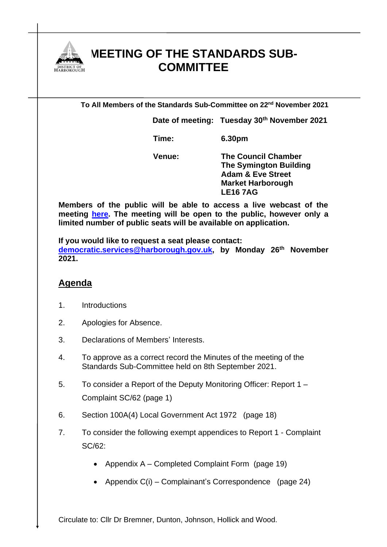

## **MEETING OF THE STANDARDS SUB-COMMITTEE**

**To All Members of the Standards Sub-Committee on 22nd November 2021**

**Date of meeting: Tuesday 30th November 2021**

**Time: 6.30pm**

**Venue: The Council Chamber The Symington Building Adam & Eve Street Market Harborough LE16 7AG**

**Members of the public will be able to access a live webcast of the meeting [here.](https://cmis.harborough.gov.uk/cmis5/Meetings/tabid/73/ctl/ViewMeetingPublic/mid/410/Meeting/5661/Committee/840/SelectedTab/Documents/Default.aspx) The meeting will be open to the public, however only a limited number of public seats will be available on application.** 

**If you would like to request a seat please contact: [democratic.services@harborough.gov.uk,](mailto:democratic.services@harborough.gov.uk) by Monday 26 th November 2021.**

## **Agenda**

- 1. Introductions
- 2. Apologies for Absence.
- 3. Declarations of Members' Interests.
- 4. To approve as a correct record the Minutes of the meeting of the Standards Sub-Committee held on 8th September 2021.
- 5. To consider a Report of the Deputy Monitoring Officer: Report 1 Complaint SC/62 (page 1)
- 6. Section 100A(4) Local Government Act 1972 (page 18)
- 7. To consider the following exempt appendices to Report 1 Complaint SC/62:
	- Appendix A Completed Complaint Form (page 19)
	- Appendix C(i) Complainant's Correspondence (page 24)